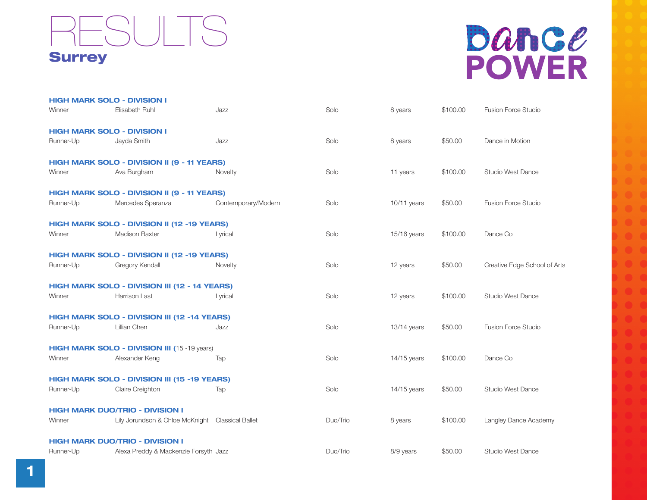## Dance **POWER**

|           | <b>HIGH MARK SOLO - DIVISION I</b>                  |                     |          |               |          |                              |
|-----------|-----------------------------------------------------|---------------------|----------|---------------|----------|------------------------------|
| Winner    | Elisabeth Ruhl                                      | Jazz                | Solo     | 8 years       | \$100.00 | Fusion Force Studio          |
|           | <b>HIGH MARK SOLO - DIVISION I</b>                  |                     |          |               |          |                              |
| Runner-Up | Jayda Smith                                         | Jazz                | Solo     | 8 years       | \$50.00  | Dance in Motion              |
|           | HIGH MARK SOLO - DIVISION II (9 - 11 YEARS)         |                     |          |               |          |                              |
| Winner    | Ava Burgham                                         | Novelty             | Solo     | 11 years      | \$100.00 | <b>Studio West Dance</b>     |
|           | HIGH MARK SOLO - DIVISION II (9 - 11 YEARS)         |                     |          |               |          |                              |
| Runner-Up | Mercedes Speranza                                   | Contemporary/Modern | Solo     | $10/11$ years | \$50.00  | Fusion Force Studio          |
|           | HIGH MARK SOLO - DIVISION II (12 -19 YEARS)         |                     |          |               |          |                              |
| Winner    | <b>Madison Baxter</b>                               | Lyrical             | Solo     | 15/16 years   | \$100.00 | Dance Co                     |
|           | HIGH MARK SOLO - DIVISION II (12 -19 YEARS)         |                     |          |               |          |                              |
| Runner-Up | Gregory Kendall                                     | Novelty             | Solo     | 12 years      | \$50.00  | Creative Edge School of Arts |
|           | HIGH MARK SOLO - DIVISION III (12 - 14 YEARS)       |                     |          |               |          |                              |
| Winner    | <b>Harrison Last</b>                                | Lyrical             | Solo     | 12 years      | \$100.00 | <b>Studio West Dance</b>     |
|           | HIGH MARK SOLO - DIVISION III (12 -14 YEARS)        |                     |          |               |          |                              |
| Runner-Up | Lillian Chen                                        | Jazz                | Solo     | $13/14$ years | \$50.00  | <b>Fusion Force Studio</b>   |
|           | <b>HIGH MARK SOLO - DIVISION III (15 -19 years)</b> |                     |          |               |          |                              |
| Winner    | Alexander Keng                                      | Tap                 | Solo     | $14/15$ years | \$100.00 | Dance Co                     |
|           | HIGH MARK SOLO - DIVISION III (15 -19 YEARS)        |                     |          |               |          |                              |
| Runner-Up | Claire Creighton                                    | Tap                 | Solo     | $14/15$ years | \$50.00  | Studio West Dance            |
|           | <b>HIGH MARK DUO/TRIO - DIVISION I</b>              |                     |          |               |          |                              |
| Winner    | Lily Jorundson & Chloe McKnight  Classical Ballet   |                     | Duo/Trio | 8 years       | \$100.00 | Langley Dance Academy        |
|           | <b>HIGH MARK DUO/TRIO - DIVISION I</b>              |                     |          |               |          |                              |
| Runner-Up | Alexa Preddy & Mackenzie Forsyth Jazz               |                     | Duo/Trio | 8/9 years     | \$50.00  | <b>Studio West Dance</b>     |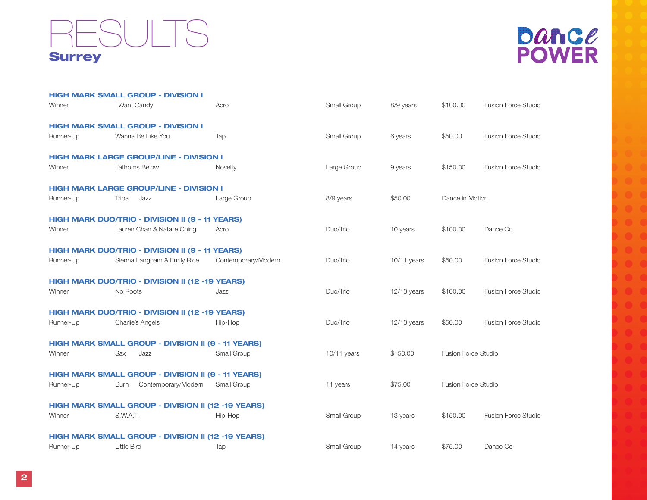

|           | <b>HIGH MARK SMALL GROUP - DIVISION I</b>                 |                     |             |               |                     |                            |
|-----------|-----------------------------------------------------------|---------------------|-------------|---------------|---------------------|----------------------------|
| Winner    | I Want Candy                                              | Acro                | Small Group | 8/9 years     | \$100.00            | <b>Fusion Force Studio</b> |
|           | <b>HIGH MARK SMALL GROUP - DIVISION I</b>                 |                     |             |               |                     |                            |
| Runner-Up | Wanna Be Like You                                         | Tap                 | Small Group | 6 years       | \$50.00             | <b>Fusion Force Studio</b> |
|           | <b>HIGH MARK LARGE GROUP/LINE - DIVISION I</b>            |                     |             |               |                     |                            |
| Winner    | <b>Fathoms Below</b>                                      | Novelty             | Large Group | 9 years       | \$150.00            | <b>Fusion Force Studio</b> |
|           | <b>HIGH MARK LARGE GROUP/LINE - DIVISION I</b>            |                     |             |               |                     |                            |
| Runner-Up | Tribal<br>Jazz                                            | Large Group         | 8/9 years   | \$50.00       | Dance in Motion     |                            |
|           | HIGH MARK DUO/TRIO - DIVISION II (9 - 11 YEARS)           |                     |             |               |                     |                            |
| Winner    | Lauren Chan & Natalie Ching                               | Acro                | Duo/Trio    | 10 years      | \$100.00            | Dance Co                   |
|           | HIGH MARK DUO/TRIO - DIVISION II (9 - 11 YEARS)           |                     |             |               |                     |                            |
| Runner-Up | Sienna Langham & Emily Rice                               | Contemporary/Modern | Duo/Trio    | $10/11$ years | \$50.00             | <b>Fusion Force Studio</b> |
|           | HIGH MARK DUO/TRIO - DIVISION II (12 -19 YEARS)           |                     |             |               |                     |                            |
| Winner    | No Roots                                                  | Jazz                | Duo/Trio    | $12/13$ years | \$100.00            | Fusion Force Studio        |
|           | HIGH MARK DUO/TRIO - DIVISION II (12 -19 YEARS)           |                     |             |               |                     |                            |
| Runner-Up | Charlie's Angels                                          | Hip-Hop             | Duo/Trio    | $12/13$ years | \$50.00             | <b>Fusion Force Studio</b> |
|           | HIGH MARK SMALL GROUP - DIVISION II (9 - 11 YEARS)        |                     |             |               |                     |                            |
| Winner    | Sax<br>Jazz                                               | Small Group         | 10/11 years | \$150.00      | Fusion Force Studio |                            |
|           | <b>HIGH MARK SMALL GROUP - DIVISION II (9 - 11 YEARS)</b> |                     |             |               |                     |                            |
| Runner-Up | Contemporary/Modern<br><b>Burn</b>                        | Small Group         | 11 years    | \$75.00       | Fusion Force Studio |                            |
|           | HIGH MARK SMALL GROUP - DIVISION II (12 -19 YEARS)        |                     |             |               |                     |                            |
| Winner    | S.W.A.T.                                                  | Hip-Hop             | Small Group | 13 years      | \$150.00            | <b>Fusion Force Studio</b> |
|           | HIGH MARK SMALL GROUP - DIVISION II (12 -19 YEARS)        |                     |             |               |                     |                            |
| Runner-Up | <b>Little Bird</b>                                        | Tap                 | Small Group | 14 years      | \$75.00             | Dance Co                   |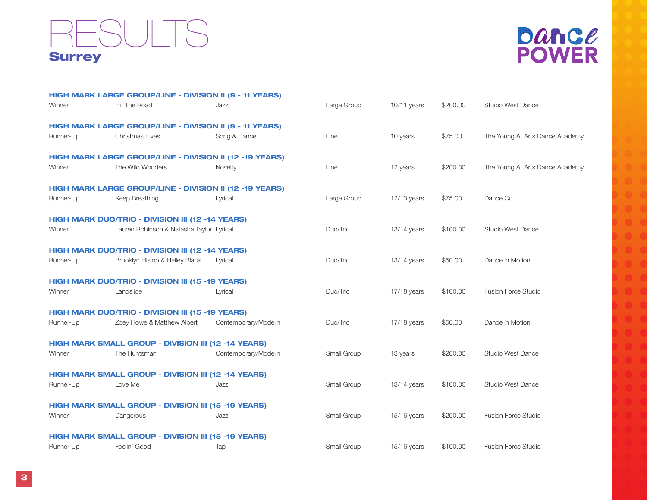

|           | HIGH MARK LARGE GROUP/LINE - DIVISION II (9 - 11 YEARS)        |                     |             |               |          |                                 |
|-----------|----------------------------------------------------------------|---------------------|-------------|---------------|----------|---------------------------------|
| Winner    | <b>Hit The Road</b>                                            | Jazz                | Large Group | 10/11 years   | \$200.00 | <b>Studio West Dance</b>        |
|           | <b>HIGH MARK LARGE GROUP/LINE - DIVISION II (9 - 11 YEARS)</b> |                     |             |               |          |                                 |
| Runner-Up | <b>Christmas Elves</b>                                         | Song & Dance        | Line        | 10 years      | \$75.00  | The Young At Arts Dance Academy |
|           | HIGH MARK LARGE GROUP/LINE - DIVISION II (12 -19 YEARS)        |                     |             |               |          |                                 |
| Winner    | The Wild Wooders                                               | Novelty             | Line        | 12 years      | \$200.00 | The Young At Arts Dance Academy |
|           | HIGH MARK LARGE GROUP/LINE - DIVISION II (12 -19 YEARS)        |                     |             |               |          |                                 |
| Runner-Up | Keep Breathing                                                 | Lyrical             | Large Group | $12/13$ years | \$75.00  | Dance Co                        |
|           | HIGH MARK DUO/TRIO - DIVISION III (12 -14 YEARS)               |                     |             |               |          |                                 |
| Winner    | Lauren Robinson & Natasha Taylor Lyrical                       |                     | Duo/Trio    | $13/14$ years | \$100.00 | <b>Studio West Dance</b>        |
|           | HIGH MARK DUO/TRIO - DIVISION III (12 -14 YEARS)               |                     |             |               |          |                                 |
| Runner-Up | Brooklyn Hislop & Hailey Black                                 | Lyrical             | Duo/Trio    | $13/14$ years | \$50.00  | Dance in Motion                 |
|           | HIGH MARK DUO/TRIO - DIVISION III (15 -19 YEARS)               |                     |             |               |          |                                 |
| Winner    | Landslide                                                      | Lyrical             | Duo/Trio    | 17/18 years   | \$100.00 | <b>Fusion Force Studio</b>      |
|           | HIGH MARK DUO/TRIO - DIVISION III (15 -19 YEARS)               |                     |             |               |          |                                 |
| Runner-Up | Zoey Howe & Matthew Albert                                     | Contemporary/Modern | Duo/Trio    | 17/18 years   | \$50.00  | Dance in Motion                 |
|           | HIGH MARK SMALL GROUP - DIVISION III (12 -14 YEARS)            |                     |             |               |          |                                 |
| Winner    | The Huntsman                                                   | Contemporary/Modern | Small Group | 13 years      | \$200.00 | <b>Studio West Dance</b>        |
|           | <b>HIGH MARK SMALL GROUP - DIVISION III (12 -14 YEARS)</b>     |                     |             |               |          |                                 |
| Runner-Up | Love Me                                                        | Jazz                | Small Group | $13/14$ years | \$100.00 | <b>Studio West Dance</b>        |
|           | HIGH MARK SMALL GROUP - DIVISION III (15 -19 YEARS)            |                     |             |               |          |                                 |
| Winner    | Dangerous                                                      | Jazz                | Small Group | 15/16 years   | \$200.00 | <b>Fusion Force Studio</b>      |
|           | <b>HIGH MARK SMALL GROUP - DIVISION III (15 -19 YEARS)</b>     |                     |             |               |          |                                 |
| Runner-Up | Feelin' Good                                                   | Tap                 | Small Group | 15/16 years   | \$100.00 | <b>Fusion Force Studio</b>      |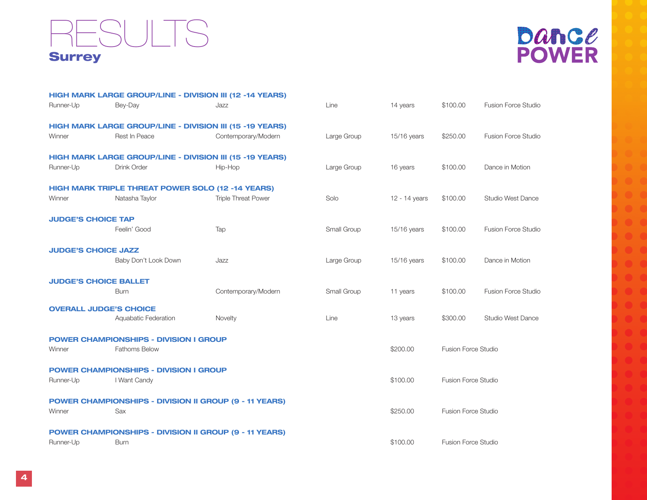



|                              | HIGH MARK LARGE GROUP/LINE - DIVISION III (12 -14 YEARS)      |                            |             |               |                            |                            |
|------------------------------|---------------------------------------------------------------|----------------------------|-------------|---------------|----------------------------|----------------------------|
| Runner-Up                    | Bey-Day                                                       | Jazz                       | Line        | 14 years      | \$100.00                   | <b>Fusion Force Studio</b> |
|                              | HIGH MARK LARGE GROUP/LINE - DIVISION III (15 -19 YEARS)      |                            |             |               |                            |                            |
| Winner                       | Rest In Peace                                                 | Contemporary/Modern        | Large Group | $15/16$ years | \$250.00                   | <b>Fusion Force Studio</b> |
|                              | HIGH MARK LARGE GROUP/LINE - DIVISION III (15 -19 YEARS)      |                            |             |               |                            |                            |
| Runner-Up                    | Drink Order                                                   | Hip-Hop                    | Large Group | 16 years      | \$100.00                   | Dance in Motion            |
|                              | <b>HIGH MARK TRIPLE THREAT POWER SOLO (12 -14 YEARS)</b>      |                            |             |               |                            |                            |
| Winner                       | Natasha Taylor                                                | <b>Triple Threat Power</b> | Solo        | 12 - 14 years | \$100.00                   | Studio West Dance          |
| <b>JUDGE'S CHOICE TAP</b>    |                                                               |                            |             |               |                            |                            |
|                              | Feelin' Good                                                  | Tap                        | Small Group | 15/16 years   | \$100.00                   | <b>Fusion Force Studio</b> |
| <b>JUDGE'S CHOICE JAZZ</b>   |                                                               |                            |             |               |                            |                            |
|                              | Baby Don't Look Down                                          | Jazz                       | Large Group | $15/16$ years | \$100.00                   | Dance in Motion            |
| <b>JUDGE'S CHOICE BALLET</b> |                                                               |                            |             |               |                            |                            |
|                              | <b>Burn</b>                                                   | Contemporary/Modern        | Small Group | 11 years      | \$100.00                   | <b>Fusion Force Studio</b> |
|                              | <b>OVERALL JUDGE'S CHOICE</b>                                 |                            |             |               |                            |                            |
|                              | Aquabatic Federation                                          | Novelty                    | Line        | 13 years      | \$300.00                   | Studio West Dance          |
|                              | <b>POWER CHAMPIONSHIPS - DIVISION I GROUP</b>                 |                            |             |               |                            |                            |
| Winner                       | <b>Fathoms Below</b>                                          |                            |             | \$200.00      | <b>Fusion Force Studio</b> |                            |
|                              | <b>POWER CHAMPIONSHIPS - DIVISION I GROUP</b>                 |                            |             |               |                            |                            |
| Runner-Up                    | I Want Candy                                                  |                            |             | \$100.00      | <b>Fusion Force Studio</b> |                            |
|                              | <b>POWER CHAMPIONSHIPS - DIVISION II GROUP (9 - 11 YEARS)</b> |                            |             |               |                            |                            |
| Winner                       | Sax                                                           |                            |             | \$250.00      | <b>Fusion Force Studio</b> |                            |
|                              | <b>POWER CHAMPIONSHIPS - DIVISION II GROUP (9 - 11 YEARS)</b> |                            |             |               |                            |                            |
| Runner-Up                    | <b>Burn</b>                                                   |                            |             | \$100.00      | <b>Fusion Force Studio</b> |                            |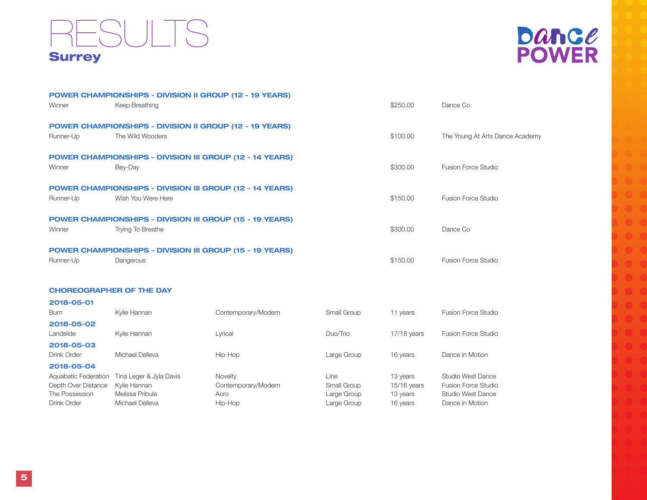# **Dance**<br>POWER

| Winner    | <b>POWER CHAMPIONSHIPS - DIVISION II GROUP (12 - 19 YEARS)</b><br>Keep Breathing            | \$250.00 | Dance Co                        |
|-----------|---------------------------------------------------------------------------------------------|----------|---------------------------------|
| Runner-Up | <b>POWER CHAMPIONSHIPS - DIVISION II GROUP (12 - 19 YEARS)</b><br>The Wild Wooders          | \$100.00 | The Young At Arts Dance Academy |
| Winner    | <b>POWER CHAMPIONSHIPS - DIVISION III GROUP (12 - 14 YEARS)</b><br>Bey-Day                  | \$300.00 | <b>Fusion Force Studio</b>      |
| Runner-Up | <b>POWER CHAMPIONSHIPS - DIVISION III GROUP (12 - 14 YEARS)</b><br>Wish You Were Here       | \$150.00 | Fusion Force Studio             |
| Winner    | <b>POWER CHAMPIONSHIPS - DIVISION III GROUP (15 - 19 YEARS)</b><br><b>Trying To Breathe</b> | \$300.00 | Dance Co                        |
| Runner-Up | <b>POWER CHAMPIONSHIPS - DIVISION III GROUP (15 - 19 YEARS)</b><br>Dangerous                | \$150.00 | <b>Fusion Force Studio</b>      |
|           |                                                                                             |          |                                 |

#### CHOREOGRAPHER OF THE DAY

| 2018-05-01           |                         |                     |             |               |                            |
|----------------------|-------------------------|---------------------|-------------|---------------|----------------------------|
| Burn                 | Kylie Hannan            | Contemporary/Modern | Small Group | 11 years      | <b>Fusion Force Studio</b> |
| 2018-05-02           |                         |                     |             |               |                            |
| Landslide            | Kylie Hannan            | Lyrical             | Duo/Trio    | $17/18$ years | Fusion Force Studio        |
| 2018-05-03           |                         |                     |             |               |                            |
| Drink Order          | Michael Delleva         | Hip-Hop             | Large Group | 16 years      | Dance in Motion            |
| 2018-05-04           |                         |                     |             |               |                            |
| Aquabatic Federation | Tina Leger & Jyla Davis | <b>Novelty</b>      | Line        | 13 years      | Studio West Dance          |
| Depth Over Distance  | Kvlie Hannan            | Contemporary/Modern | Small Group | 15/16 years   | <b>Fusion Force Studio</b> |
| The Possession       | Melissa Pribula         | Acro                | Large Group | 13 years      | Studio West Dance          |
| Drink Order          | Michael Delleva         | Hip-Hop             | Large Group | 16 years      | Dance in Motion            |